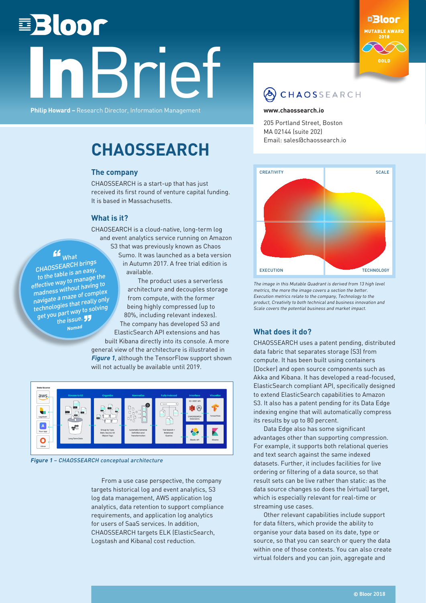# **■Bloor IBrief**

**Philip Howard –** Research Director, Information Management



#### CHAOSSEARCH

#### **[www.chaossearch.io](http://www.chaossearch.io )**

205 Portland Street, Boston MA 02144 (suite 202) Email: sales@chaossearch.io

### **CHAOSSEARCH**

#### **The company**

CHAOSSEARCH is a start-up that has just received its first round of venture capital funding. It is based in Massachusetts.

#### **What is it?**

CHAOSEARCH is a cloud-native, long-term log and event analytics service running on Amazon S3 that was previously known as Chaos

 $\mathbf{F}_{\mathsf{What}}$ CHAOSSEARCH brings to the table is an easy, effective way to manage the madness without having to navigate a maze of complex technologies that really only get you part way to solving the issue.

**Noma<sup>d</sup>**

Sumo. It was launched as a beta version in Autumn 2017. A free trial edition is available. The product uses a serverless

architecture and decouples storage from compute, with the former being highly compressed (up to 80%, including relevant indexes). The company has developed S3 and ElasticSearch API extensions and has

built Kibana directly into its console. A more general view of the architecture is illustrated in **Figure 1**, although the TensorFlow support shown will not actually be available until 2019.



**Figure 1** – CHAOSSEARCH conceptual architecture

From a use case perspective, the company targets historical log and event analytics, S3 log data management, AWS application log analytics, data retention to support compliance requirements, and application log analytics for users of SaaS services. In addition, CHAOSSEARCH targets ELK (ElasticSearch, Logstash and Kibana) cost reduction.



The image in this Mutable Quadrant is derived from 13 high level metrics, the more the image covers a section the better. Execution metrics relate to the company, Technology to the product, Creativity to both technical and business innovation and Scale covers the potential business and market impact.

#### **What does it do?**

CHAOSSEARCH uses a patent pending, distributed data fabric that separates storage (S3) from compute. It has been built using containers (Docker) and open source components such as Akka and Kibana. It has developed a read-focused, ElasticSearch compliant API, specifically designed to extend ElasticSearch capabilities to Amazon S3. It also has a patent pending for its Data Edge indexing engine that will automatically compress its results by up to 80 percent.

Data Edge also has some significant advantages other than supporting compression. For example, it supports both relational queries and text search against the same indexed datasets. Further, it includes facilities for live ordering or filtering of a data source, so that result sets can be live rather than static: as the data source changes so does the (virtual) target, which is especially relevant for real-time or streaming use cases.

Other relevant capabilities include support for data filters, which provide the ability to organise your data based on its date, type or source, so that you can search or query the data within one of those contexts. You can also create virtual folders and you can join, aggregate and